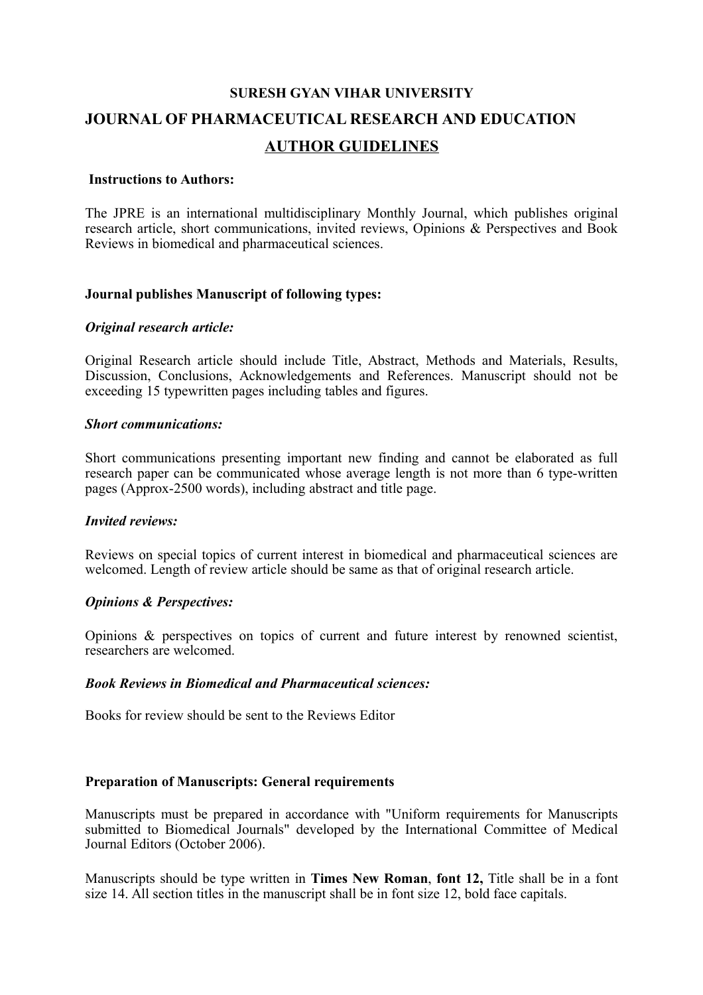# **SURESH GYAN VIHAR UNIVERSITY JOURNAL OF PHARMACEUTICAL RESEARCH AND EDUCATION AUTHOR GUIDELINES**

#### **Instructions to Authors:**

The JPRE is an international multidisciplinary Monthly Journal, which publishes original research article, short communications, invited reviews, Opinions & Perspectives and Book Reviews in biomedical and pharmaceutical sciences.

## **Journal publishes Manuscript of following types:**

#### *Original research article:*

Original Research article should include Title, Abstract, Methods and Materials, Results, Discussion, Conclusions, Acknowledgements and References. Manuscript should not be exceeding 15 typewritten pages including tables and figures.

#### *Short communications:*

Short communications presenting important new finding and cannot be elaborated as full research paper can be communicated whose average length is not more than 6 type-written pages (Approx-2500 words), including abstract and title page.

#### *Invited reviews:*

Reviews on special topics of current interest in biomedical and pharmaceutical sciences are welcomed. Length of review article should be same as that of original research article.

#### *Opinions & Perspectives:*

Opinions & perspectives on topics of current and future interest by renowned scientist, researchers are welcomed.

## *Book Reviews in Biomedical and Pharmaceutical sciences:*

Books for review should be sent to the Reviews Editor

## **Preparation of Manuscripts: General requirements**

Manuscripts must be prepared in accordance with "Uniform requirements for Manuscripts submitted to Biomedical Journals" developed by the International Committee of Medical Journal Editors (October 2006).

Manuscripts should be type written in **Times New Roman**, **font 12,** Title shall be in a font size 14. All section titles in the manuscript shall be in font size 12, bold face capitals.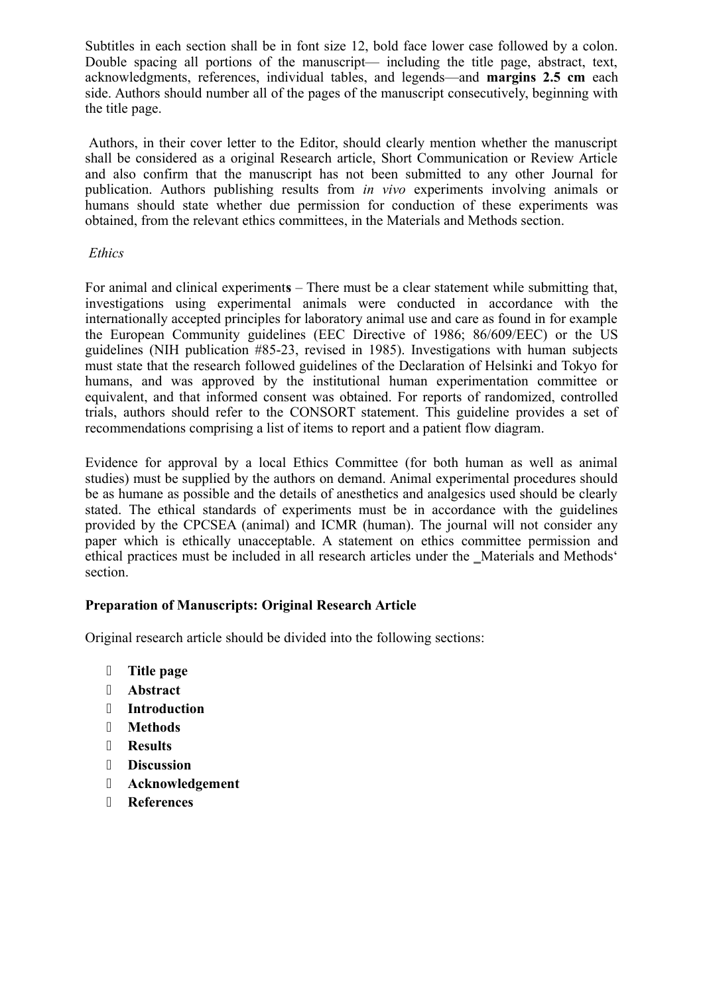Subtitles in each section shall be in font size 12, bold face lower case followed by a colon. Double spacing all portions of the manuscript— including the title page, abstract, text, acknowledgments, references, individual tables, and legends—and **margins 2.5 cm** each side. Authors should number all of the pages of the manuscript consecutively, beginning with the title page.

Authors, in their cover letter to the Editor, should clearly mention whether the manuscript shall be considered as a original Research article, Short Communication or Review Article and also confirm that the manuscript has not been submitted to any other Journal for publication. Authors publishing results from *in vivo* experiments involving animals or humans should state whether due permission for conduction of these experiments was obtained, from the relevant ethics committees, in the Materials and Methods section.

## *Ethics*

For animal and clinical experiment**s** – There must be a clear statement while submitting that, investigations using experimental animals were conducted in accordance with the internationally accepted principles for laboratory animal use and care as found in for example the European Community guidelines (EEC Directive of 1986; 86/609/EEC) or the US guidelines (NIH publication #85-23, revised in 1985). Investigations with human subjects must state that the research followed guidelines of the Declaration of Helsinki and Tokyo for humans, and was approved by the institutional human experimentation committee or equivalent, and that informed consent was obtained. For reports of randomized, controlled trials, authors should refer to the CONSORT statement. This guideline provides a set of recommendations comprising a list of items to report and a patient flow diagram.

Evidence for approval by a local Ethics Committee (for both human as well as animal studies) must be supplied by the authors on demand. Animal experimental procedures should be as humane as possible and the details of anesthetics and analgesics used should be clearly stated. The ethical standards of experiments must be in accordance with the guidelines provided by the CPCSEA (animal) and ICMR (human). The journal will not consider any paper which is ethically unacceptable. A statement on ethics committee permission and ethical practices must be included in all research articles under the Materials and Methods' section.

# **Preparation of Manuscripts: Original Research Article**

Original research article should be divided into the following sections:

- **Title page**
- **Abstract**
- **Introduction**
- **Methods**
- **Results**
- **Discussion**
- **Acknowledgement**
- **References**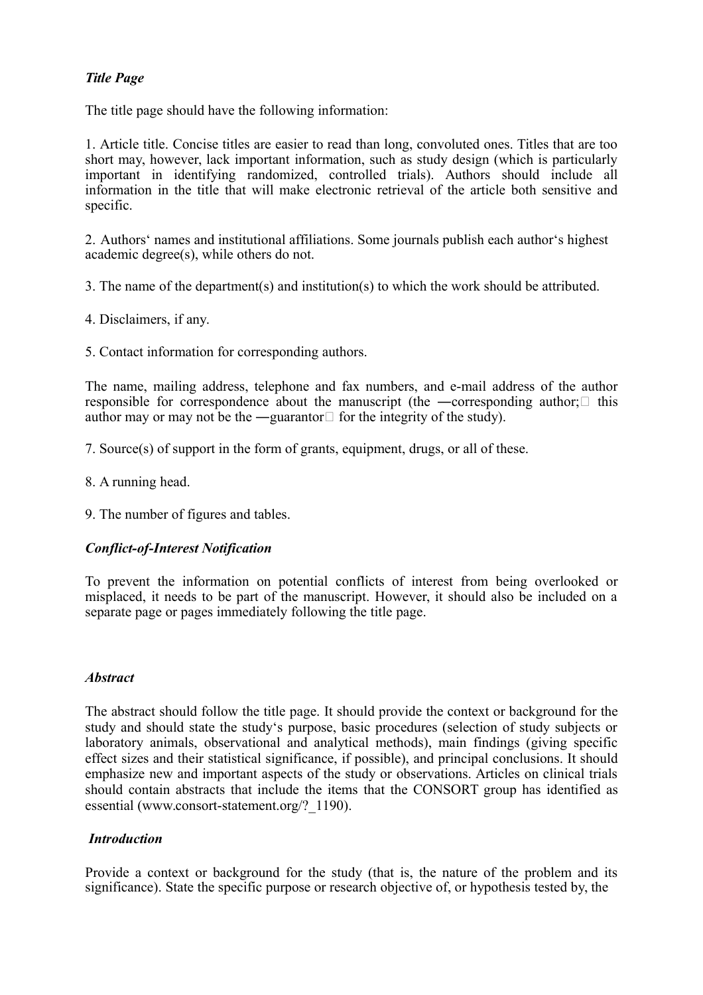# *Title Page*

The title page should have the following information:

1. Article title. Concise titles are easier to read than long, convoluted ones. Titles that are too short may, however, lack important information, such as study design (which is particularly important in identifying randomized, controlled trials). Authors should include all information in the title that will make electronic retrieval of the article both sensitive and specific.

2. Authors' names and institutional affiliations. Some journals publish each author's highest academic degree(s), while others do not.

3. The name of the department(s) and institution(s) to which the work should be attributed.

- 4. Disclaimers, if any.
- 5. Contact information for corresponding authors.

The name, mailing address, telephone and fax numbers, and e-mail address of the author responsible for correspondence about the manuscript (the —corresponding author:  $\Box$  this author may or may not be the  $-\frac{1}{2}$  for the integrity of the study).

- 7. Source(s) of support in the form of grants, equipment, drugs, or all of these.
- 8. A running head.
- 9. The number of figures and tables.

## *Conflict-of-Interest Notification*

To prevent the information on potential conflicts of interest from being overlooked or misplaced, it needs to be part of the manuscript. However, it should also be included on a separate page or pages immediately following the title page.

## *Abstract*

The abstract should follow the title page. It should provide the context or background for the study and should state the study's purpose, basic procedures (selection of study subjects or laboratory animals, observational and analytical methods), main findings (giving specific effect sizes and their statistical significance, if possible), and principal conclusions. It should emphasize new and important aspects of the study or observations. Articles on clinical trials should contain abstracts that include the items that the CONSORT group has identified as essential (www.consort-statement.org/?\_1190).

## *Introduction*

Provide a context or background for the study (that is, the nature of the problem and its significance). State the specific purpose or research objective of, or hypothesis tested by, the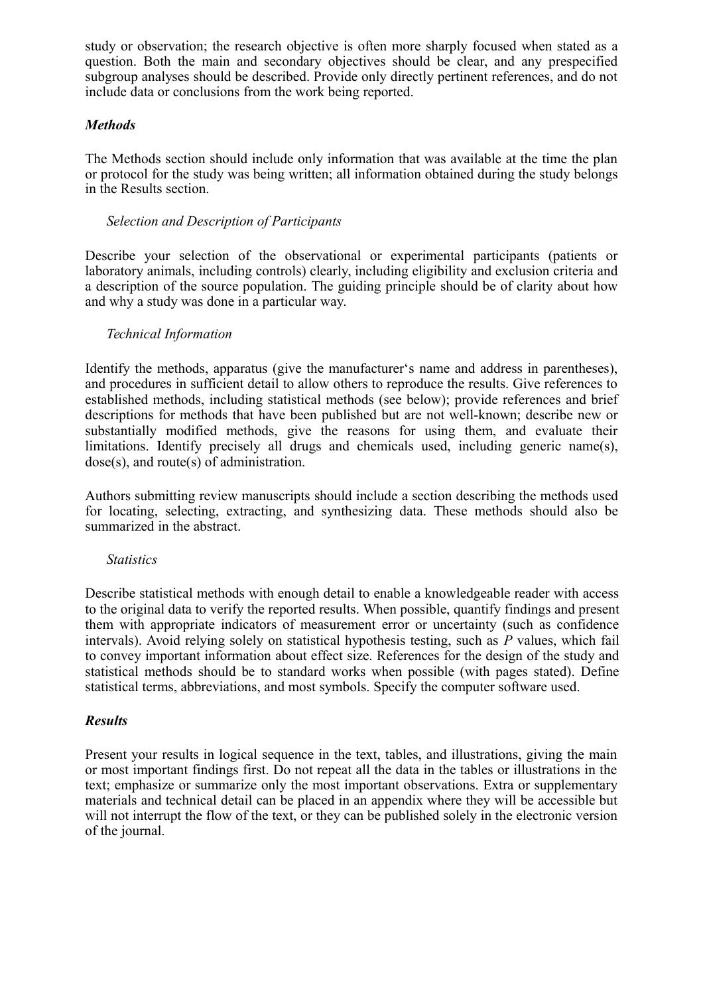study or observation; the research objective is often more sharply focused when stated as a question. Both the main and secondary objectives should be clear, and any prespecified subgroup analyses should be described. Provide only directly pertinent references, and do not include data or conclusions from the work being reported.

# *Methods*

The Methods section should include only information that was available at the time the plan or protocol for the study was being written; all information obtained during the study belongs in the Results section.

## *Selection and Description of Participants*

Describe your selection of the observational or experimental participants (patients or laboratory animals, including controls) clearly, including eligibility and exclusion criteria and a description of the source population. The guiding principle should be of clarity about how and why a study was done in a particular way.

#### *Technical Information*

Identify the methods, apparatus (give the manufacturer's name and address in parentheses), and procedures in sufficient detail to allow others to reproduce the results. Give references to established methods, including statistical methods (see below); provide references and brief descriptions for methods that have been published but are not well-known; describe new or substantially modified methods, give the reasons for using them, and evaluate their limitations. Identify precisely all drugs and chemicals used, including generic name(s), dose(s), and route(s) of administration.

Authors submitting review manuscripts should include a section describing the methods used for locating, selecting, extracting, and synthesizing data. These methods should also be summarized in the abstract.

## *Statistics*

Describe statistical methods with enough detail to enable a knowledgeable reader with access to the original data to verify the reported results. When possible, quantify findings and present them with appropriate indicators of measurement error or uncertainty (such as confidence intervals). Avoid relying solely on statistical hypothesis testing, such as *P* values, which fail to convey important information about effect size. References for the design of the study and statistical methods should be to standard works when possible (with pages stated). Define statistical terms, abbreviations, and most symbols. Specify the computer software used.

## *Results*

Present your results in logical sequence in the text, tables, and illustrations, giving the main or most important findings first. Do not repeat all the data in the tables or illustrations in the text; emphasize or summarize only the most important observations. Extra or supplementary materials and technical detail can be placed in an appendix where they will be accessible but will not interrupt the flow of the text, or they can be published solely in the electronic version of the journal.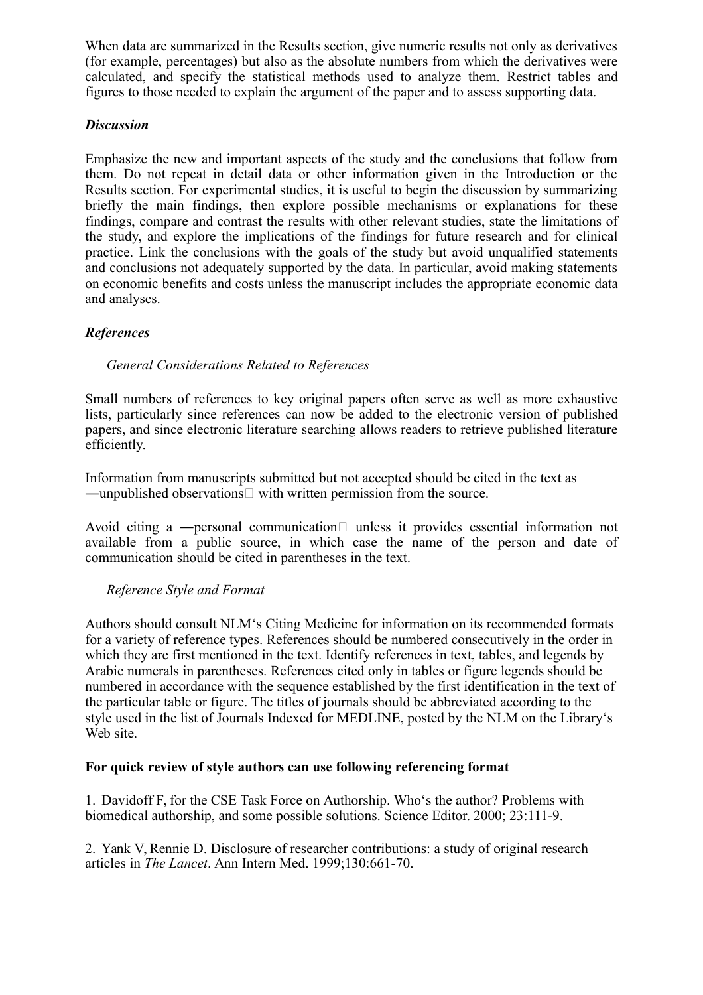When data are summarized in the Results section, give numeric results not only as derivatives (for example, percentages) but also as the absolute numbers from which the derivatives were calculated, and specify the statistical methods used to analyze them. Restrict tables and figures to those needed to explain the argument of the paper and to assess supporting data.

# *Discussion*

Emphasize the new and important aspects of the study and the conclusions that follow from them. Do not repeat in detail data or other information given in the Introduction or the Results section. For experimental studies, it is useful to begin the discussion by summarizing briefly the main findings, then explore possible mechanisms or explanations for these findings, compare and contrast the results with other relevant studies, state the limitations of the study, and explore the implications of the findings for future research and for clinical practice. Link the conclusions with the goals of the study but avoid unqualified statements and conclusions not adequately supported by the data. In particular, avoid making statements on economic benefits and costs unless the manuscript includes the appropriate economic data and analyses.

# *References*

*General Considerations Related to References*

Small numbers of references to key original papers often serve as well as more exhaustive lists, particularly since references can now be added to the electronic version of published papers, and since electronic literature searching allows readers to retrieve published literature efficiently.

Information from manuscripts submitted but not accepted should be cited in the text as  $-\mu$ unpublished observations  $\Box$  with written permission from the source.

Avoid citing a —personal communication  $\Box$  unless it provides essential information not available from a public source, in which case the name of the person and date of communication should be cited in parentheses in the text.

# *Reference Style and Format*

Authors should consult NLM's Citing Medicine for information on its recommended formats for a variety of reference types. References should be numbered consecutively in the order in which they are first mentioned in the text. Identify references in text, tables, and legends by Arabic numerals in parentheses. References cited only in tables or figure legends should be numbered in accordance with the sequence established by the first identification in the text of the particular table or figure. The titles of journals should be abbreviated according to the style used in the list of Journals Indexed for MEDLINE, posted by the NLM on the Library's Web site.

## **For quick review of style authors can use following referencing format**

1. Davidoff F, for the CSE Task Force on Authorship. Who's the author? Problems with biomedical authorship, and some possible solutions. Science Editor. 2000; 23:111-9.

2. Yank V, Rennie D. Disclosure of researcher contributions: a study of original research articles in *The Lancet*. Ann Intern Med. 1999;130:661-70.